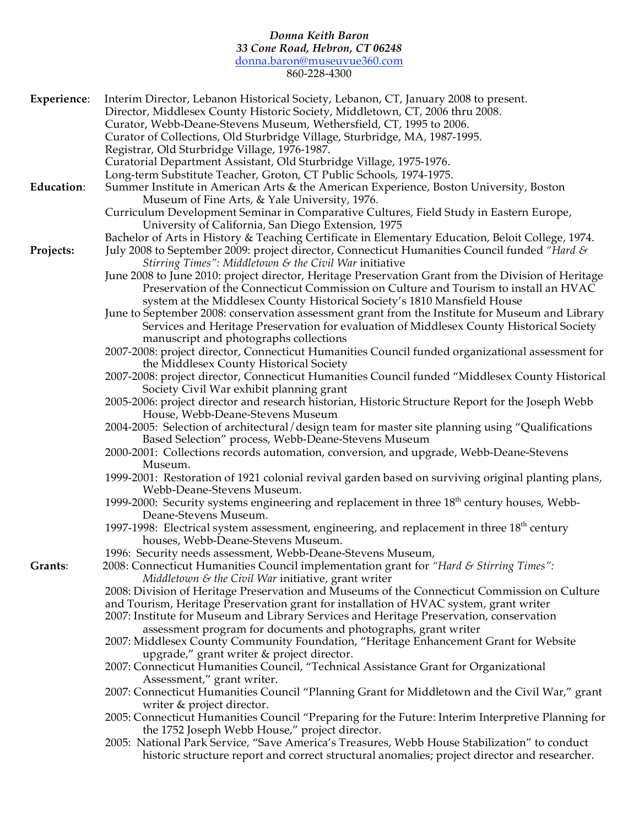## *Donna Keith Baron 33 Cone Road, Hebron, CT 06248*

donna.baron@museuvue360.com

860-228-4300

| Experience:       | Interim Director, Lebanon Historical Society, Lebanon, CT, January 2008 to present.                                                                                                          |
|-------------------|----------------------------------------------------------------------------------------------------------------------------------------------------------------------------------------------|
|                   | Director, Middlesex County Historic Society, Middletown, CT, 2006 thru 2008.                                                                                                                 |
|                   | Curator, Webb-Deane-Stevens Museum, Wethersfield, CT, 1995 to 2006.                                                                                                                          |
|                   | Curator of Collections, Old Sturbridge Village, Sturbridge, MA, 1987-1995.                                                                                                                   |
|                   | Registrar, Old Sturbridge Village, 1976-1987.                                                                                                                                                |
|                   | Curatorial Department Assistant, Old Sturbridge Village, 1975-1976.                                                                                                                          |
|                   | Long-term Substitute Teacher, Groton, CT Public Schools, 1974-1975.                                                                                                                          |
| <b>Education:</b> | Summer Institute in American Arts & the American Experience, Boston University, Boston<br>Museum of Fine Arts, & Yale University, 1976.                                                      |
|                   | Curriculum Development Seminar in Comparative Cultures, Field Study in Eastern Europe,                                                                                                       |
|                   | University of California, San Diego Extension, 1975                                                                                                                                          |
|                   | Bachelor of Arts in History & Teaching Certificate in Elementary Education, Beloit College, 1974.                                                                                            |
| Projects:         | July 2008 to September 2009: project director, Connecticut Humanities Council funded "Hard &                                                                                                 |
|                   | <i>Stirring Times": Middletown &amp; the Civil War initiative</i>                                                                                                                            |
|                   | June 2008 to June 2010: project director, Heritage Preservation Grant from the Division of Heritage                                                                                          |
|                   | Preservation of the Connecticut Commission on Culture and Tourism to install an HVAC                                                                                                         |
|                   | system at the Middlesex County Historical Society's 1810 Mansfield House                                                                                                                     |
|                   | June to September 2008: conservation assessment grant from the Institute for Museum and Library                                                                                              |
|                   | Services and Heritage Preservation for evaluation of Middlesex County Historical Society                                                                                                     |
|                   | manuscript and photographs collections                                                                                                                                                       |
|                   | 2007-2008: project director, Connecticut Humanities Council funded organizational assessment for                                                                                             |
|                   | the Middlesex County Historical Society                                                                                                                                                      |
|                   | 2007-2008: project director, Connecticut Humanities Council funded "Middlesex County Historical                                                                                              |
|                   | Society Civil War exhibit planning grant<br>2005-2006: project director and research historian, Historic Structure Report for the Joseph Webb                                                |
|                   | House, Webb-Deane-Stevens Museum                                                                                                                                                             |
|                   | 2004-2005: Selection of architectural/design team for master site planning using "Qualifications                                                                                             |
|                   | Based Selection" process, Webb-Deane-Stevens Museum                                                                                                                                          |
|                   | 2000-2001: Collections records automation, conversion, and upgrade, Webb-Deane-Stevens                                                                                                       |
|                   | Museum.                                                                                                                                                                                      |
|                   | 1999-2001: Restoration of 1921 colonial revival garden based on surviving original planting plans,                                                                                           |
|                   | Webb-Deane-Stevens Museum.                                                                                                                                                                   |
|                   | 1999-2000: Security systems engineering and replacement in three 18 <sup>th</sup> century houses, Webb-<br>Deane-Stevens Museum.                                                             |
|                   | 1997-1998: Electrical system assessment, engineering, and replacement in three $18th$ century                                                                                                |
|                   | houses, Webb-Deane-Stevens Museum.                                                                                                                                                           |
|                   | 1996: Security needs assessment, Webb-Deane-Stevens Museum,                                                                                                                                  |
| Grants:           | 2008: Connecticut Humanities Council implementation grant for "Hard & Stirring Times":<br>Middletown $\&$ the Civil War initiative, grant writer                                             |
|                   | 2008: Division of Heritage Preservation and Museums of the Connecticut Commission on Culture                                                                                                 |
|                   | and Tourism, Heritage Preservation grant for installation of HVAC system, grant writer                                                                                                       |
|                   | 2007: Institute for Museum and Library Services and Heritage Preservation, conservation                                                                                                      |
|                   | assessment program for documents and photographs, grant writer                                                                                                                               |
|                   | 2007: Middlesex County Community Foundation, "Heritage Enhancement Grant for Website<br>upgrade," grant writer & project director.                                                           |
|                   | 2007: Connecticut Humanities Council, "Technical Assistance Grant for Organizational                                                                                                         |
|                   | Assessment," grant writer.                                                                                                                                                                   |
|                   | 2007: Connecticut Humanities Council "Planning Grant for Middletown and the Civil War," grant                                                                                                |
|                   | writer & project director.                                                                                                                                                                   |
|                   | 2005: Connecticut Humanities Council "Preparing for the Future: Interim Interpretive Planning for                                                                                            |
|                   | the 1752 Joseph Webb House," project director.                                                                                                                                               |
|                   | 2005: National Park Service, "Save America's Treasures, Webb House Stabilization" to conduct<br>historic structure report and correct structural anomalies; project director and researcher. |
|                   |                                                                                                                                                                                              |